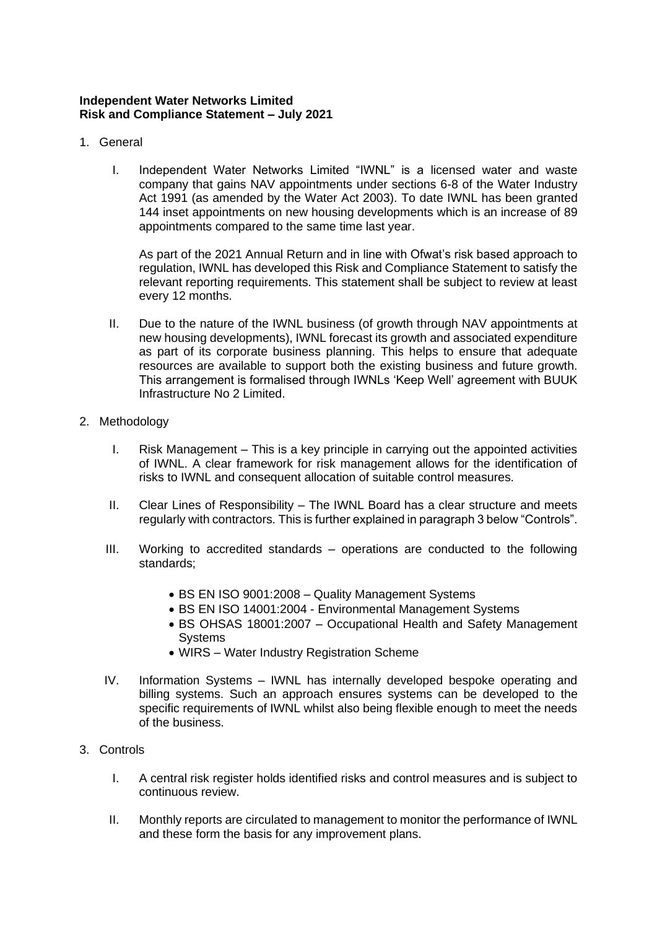## **Independent Water Networks Limited Risk and Compliance Statement – July 2021**

- 1. General
	- I. Independent Water Networks Limited "IWNL" is a licensed water and waste company that gains NAV appointments under sections 6-8 of the Water Industry Act 1991 (as amended by the Water Act 2003). To date IWNL has been granted 144 inset appointments on new housing developments which is an increase of 89 appointments compared to the same time last year.

As part of the 2021 Annual Return and in line with Ofwat's risk based approach to regulation, IWNL has developed this Risk and Compliance Statement to satisfy the relevant reporting requirements. This statement shall be subject to review at least every 12 months.

- II. Due to the nature of the IWNL business (of growth through NAV appointments at new housing developments), IWNL forecast its growth and associated expenditure as part of its corporate business planning. This helps to ensure that adequate resources are available to support both the existing business and future growth. This arrangement is formalised through IWNLs 'Keep Well' agreement with BUUK Infrastructure No 2 Limited.
- 2. Methodology
	- I. Risk Management This is a key principle in carrying out the appointed activities of IWNL. A clear framework for risk management allows for the identification of risks to IWNL and consequent allocation of suitable control measures.
	- II. Clear Lines of Responsibility The IWNL Board has a clear structure and meets regularly with contractors. This is further explained in paragraph 3 below "Controls".
	- III. Working to accredited standards operations are conducted to the following standards;
		- BS EN ISO 9001:2008 Quality Management Systems
		- BS EN ISO 14001:2004 Environmental Management Systems
		- BS OHSAS 18001:2007 Occupational Health and Safety Management **Systems**
		- WIRS Water Industry Registration Scheme
	- IV. Information Systems IWNL has internally developed bespoke operating and billing systems. Such an approach ensures systems can be developed to the specific requirements of IWNL whilst also being flexible enough to meet the needs of the business.
- 3. Controls
	- I. A central risk register holds identified risks and control measures and is subject to continuous review.
	- II. Monthly reports are circulated to management to monitor the performance of IWNL and these form the basis for any improvement plans.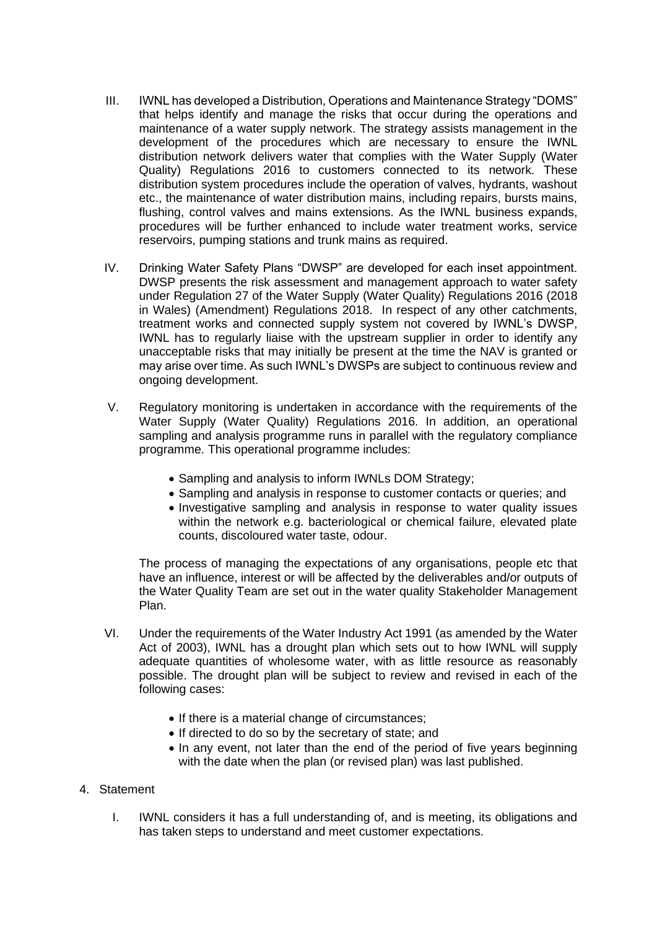- III. IWNL has developed a Distribution, Operations and Maintenance Strategy "DOMS" that helps identify and manage the risks that occur during the operations and maintenance of a water supply network. The strategy assists management in the development of the procedures which are necessary to ensure the IWNL distribution network delivers water that complies with the Water Supply (Water Quality) Regulations 2016 to customers connected to its network. These distribution system procedures include the operation of valves, hydrants, washout etc., the maintenance of water distribution mains, including repairs, bursts mains, flushing, control valves and mains extensions. As the IWNL business expands, procedures will be further enhanced to include water treatment works, service reservoirs, pumping stations and trunk mains as required.
- IV. Drinking Water Safety Plans "DWSP" are developed for each inset appointment. DWSP presents the risk assessment and management approach to water safety under Regulation 27 of the Water Supply (Water Quality) Regulations 2016 (2018 in Wales) (Amendment) Regulations 2018. In respect of any other catchments, treatment works and connected supply system not covered by IWNL's DWSP, IWNL has to regularly liaise with the upstream supplier in order to identify any unacceptable risks that may initially be present at the time the NAV is granted or may arise over time. As such IWNL's DWSPs are subject to continuous review and ongoing development.
- V. Regulatory monitoring is undertaken in accordance with the requirements of the Water Supply (Water Quality) Regulations 2016. In addition, an operational sampling and analysis programme runs in parallel with the regulatory compliance programme. This operational programme includes:
	- Sampling and analysis to inform IWNLs DOM Strategy;
	- Sampling and analysis in response to customer contacts or queries; and
	- Investigative sampling and analysis in response to water quality issues within the network e.g. bacteriological or chemical failure, elevated plate counts, discoloured water taste, odour.

The process of managing the expectations of any organisations, people etc that have an influence, interest or will be affected by the deliverables and/or outputs of the Water Quality Team are set out in the water quality Stakeholder Management Plan.

- VI. Under the requirements of the Water Industry Act 1991 (as amended by the Water Act of 2003), IWNL has a drought plan which sets out to how IWNL will supply adequate quantities of wholesome water, with as little resource as reasonably possible. The drought plan will be subject to review and revised in each of the following cases:
	- If there is a material change of circumstances;
	- If directed to do so by the secretary of state; and
	- In any event, not later than the end of the period of five years beginning with the date when the plan (or revised plan) was last published.
- 4. Statement
	- I. IWNL considers it has a full understanding of, and is meeting, its obligations and has taken steps to understand and meet customer expectations.